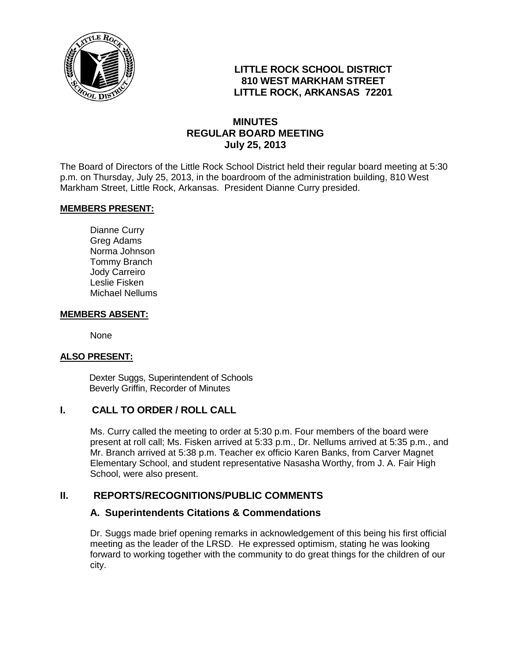

# **LITTLE ROCK SCHOOL DISTRICT 810 WEST MARKHAM STREET LITTLE ROCK, ARKANSAS 72201**

## **MINUTES REGULAR BOARD MEETING July 25, 2013**

The Board of Directors of the Little Rock School District held their regular board meeting at 5:30 p.m. on Thursday, July 25, 2013, in the boardroom of the administration building, 810 West Markham Street, Little Rock, Arkansas. President Dianne Curry presided.

#### **MEMBERS PRESENT:**

Dianne Curry Greg Adams Norma Johnson Tommy Branch Jody Carreiro Leslie Fisken Michael Nellums

#### **MEMBERS ABSENT:**

None

#### **ALSO PRESENT:**

 Dexter Suggs, Superintendent of Schools Beverly Griffin, Recorder of Minutes

#### **I. CALL TO ORDER / ROLL CALL**

Ms. Curry called the meeting to order at 5:30 p.m. Four members of the board were present at roll call; Ms. Fisken arrived at 5:33 p.m., Dr. Nellums arrived at 5:35 p.m., and Mr. Branch arrived at 5:38 p.m. Teacher ex officio Karen Banks, from Carver Magnet Elementary School, and student representative Nasasha Worthy, from J. A. Fair High School, were also present.

#### **II. REPORTS/RECOGNITIONS/PUBLIC COMMENTS**

#### **A. Superintendents Citations & Commendations**

Dr. Suggs made brief opening remarks in acknowledgement of this being his first official meeting as the leader of the LRSD. He expressed optimism, stating he was looking forward to working together with the community to do great things for the children of our city.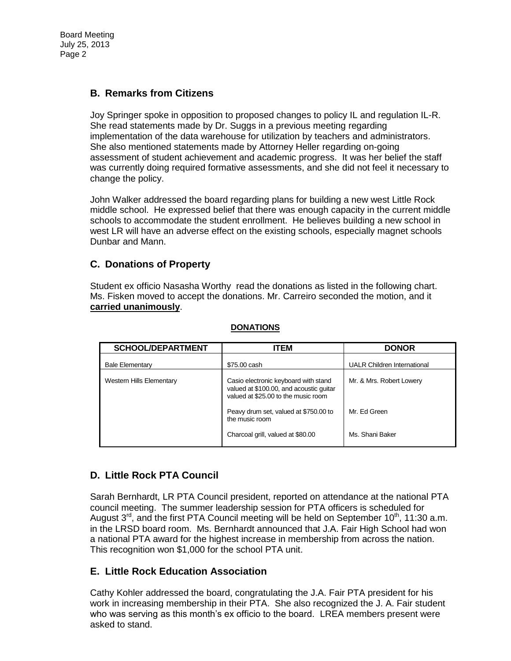Board Meeting July 25, 2013 Page 2

## **B. Remarks from Citizens**

Joy Springer spoke in opposition to proposed changes to policy IL and regulation IL-R. She read statements made by Dr. Suggs in a previous meeting regarding implementation of the data warehouse for utilization by teachers and administrators. She also mentioned statements made by Attorney Heller regarding on-going assessment of student achievement and academic progress. It was her belief the staff was currently doing required formative assessments, and she did not feel it necessary to change the policy.

John Walker addressed the board regarding plans for building a new west Little Rock middle school. He expressed belief that there was enough capacity in the current middle schools to accommodate the student enrollment. He believes building a new school in west LR will have an adverse effect on the existing schools, especially magnet schools Dunbar and Mann.

## **C. Donations of Property**

Student ex officio Nasasha Worthy read the donations as listed in the following chart. Ms. Fisken moved to accept the donations. Mr. Carreiro seconded the motion, and it **carried unanimously**.

| <b>SCHOOL/DEPARTMENT</b>        | ITEM                                                                                                                   | <b>DONOR</b>                       |
|---------------------------------|------------------------------------------------------------------------------------------------------------------------|------------------------------------|
| <b>Bale Elementary</b>          | \$75.00 cash                                                                                                           | <b>UALR Children International</b> |
| <b>Western Hills Elementary</b> | Casio electronic keyboard with stand<br>valued at \$100.00, and acoustic guitar<br>valued at \$25.00 to the music room | Mr. & Mrs. Robert Lowery           |
|                                 | Peavy drum set, valued at \$750.00 to<br>the music room                                                                | Mr. Ed Green                       |
|                                 | Charcoal grill, valued at \$80.00                                                                                      | Ms. Shani Baker                    |

#### **DONATIONS**

## **D. Little Rock PTA Council**

Sarah Bernhardt, LR PTA Council president, reported on attendance at the national PTA council meeting. The summer leadership session for PTA officers is scheduled for August  $3^{rd}$ , and the first PTA Council meeting will be held on September 10<sup>th</sup>, 11:30 a.m. in the LRSD board room. Ms. Bernhardt announced that J.A. Fair High School had won a national PTA award for the highest increase in membership from across the nation. This recognition won \$1,000 for the school PTA unit.

## **E. Little Rock Education Association**

Cathy Kohler addressed the board, congratulating the J.A. Fair PTA president for his work in increasing membership in their PTA. She also recognized the J. A. Fair student who was serving as this month's ex officio to the board. LREA members present were asked to stand.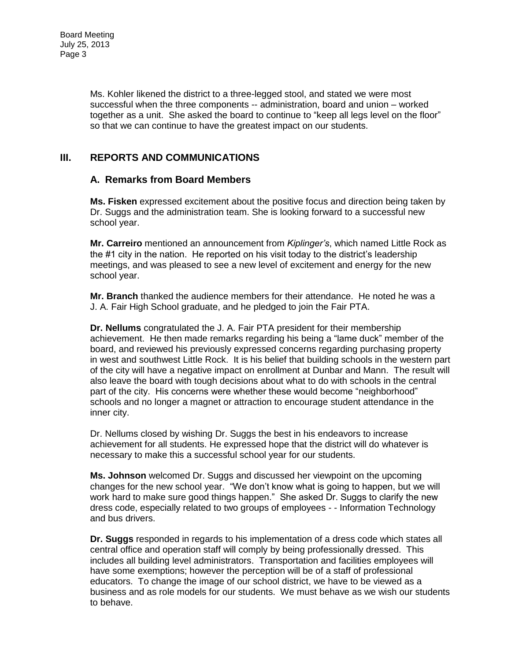Ms. Kohler likened the district to a three-legged stool, and stated we were most successful when the three components -- administration, board and union – worked together as a unit. She asked the board to continue to "keep all legs level on the floor" so that we can continue to have the greatest impact on our students.

# **III. REPORTS AND COMMUNICATIONS**

### **A. Remarks from Board Members**

**Ms. Fisken** expressed excitement about the positive focus and direction being taken by Dr. Suggs and the administration team. She is looking forward to a successful new school year.

**Mr. Carreiro** mentioned an announcement from *Kiplinger's*, which named Little Rock as the #1 city in the nation. He reported on his visit today to the district's leadership meetings, and was pleased to see a new level of excitement and energy for the new school year.

**Mr. Branch** thanked the audience members for their attendance. He noted he was a J. A. Fair High School graduate, and he pledged to join the Fair PTA.

**Dr. Nellums** congratulated the J. A. Fair PTA president for their membership achievement. He then made remarks regarding his being a "lame duck" member of the board, and reviewed his previously expressed concerns regarding purchasing property in west and southwest Little Rock. It is his belief that building schools in the western part of the city will have a negative impact on enrollment at Dunbar and Mann. The result will also leave the board with tough decisions about what to do with schools in the central part of the city. His concerns were whether these would become "neighborhood" schools and no longer a magnet or attraction to encourage student attendance in the inner city.

Dr. Nellums closed by wishing Dr. Suggs the best in his endeavors to increase achievement for all students. He expressed hope that the district will do whatever is necessary to make this a successful school year for our students.

**Ms. Johnson** welcomed Dr. Suggs and discussed her viewpoint on the upcoming changes for the new school year. "We don't know what is going to happen, but we will work hard to make sure good things happen." She asked Dr. Suggs to clarify the new dress code, especially related to two groups of employees - - Information Technology and bus drivers.

**Dr. Suggs** responded in regards to his implementation of a dress code which states all central office and operation staff will comply by being professionally dressed. This includes all building level administrators. Transportation and facilities employees will have some exemptions; however the perception will be of a staff of professional educators. To change the image of our school district, we have to be viewed as a business and as role models for our students. We must behave as we wish our students to behave.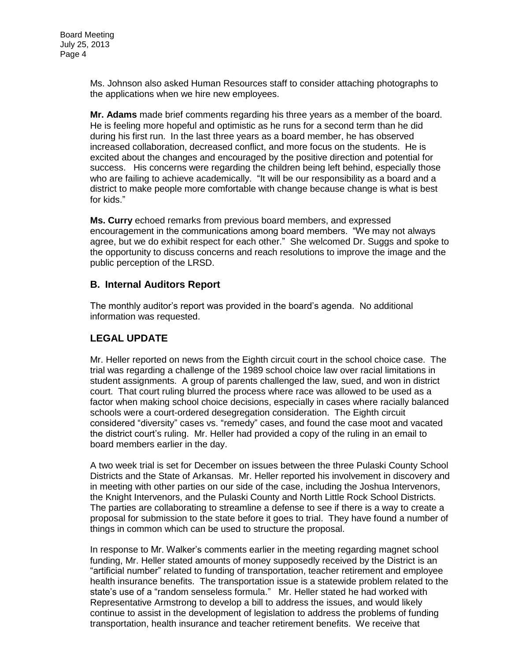Ms. Johnson also asked Human Resources staff to consider attaching photographs to the applications when we hire new employees.

**Mr. Adams** made brief comments regarding his three years as a member of the board. He is feeling more hopeful and optimistic as he runs for a second term than he did during his first run. In the last three years as a board member, he has observed increased collaboration, decreased conflict, and more focus on the students. He is excited about the changes and encouraged by the positive direction and potential for success. His concerns were regarding the children being left behind, especially those who are failing to achieve academically. "It will be our responsibility as a board and a district to make people more comfortable with change because change is what is best for kids."

**Ms. Curry** echoed remarks from previous board members, and expressed encouragement in the communications among board members. "We may not always agree, but we do exhibit respect for each other." She welcomed Dr. Suggs and spoke to the opportunity to discuss concerns and reach resolutions to improve the image and the public perception of the LRSD.

## **B. Internal Auditors Report**

The monthly auditor's report was provided in the board's agenda. No additional information was requested.

# **LEGAL UPDATE**

Mr. Heller reported on news from the Eighth circuit court in the school choice case. The trial was regarding a challenge of the 1989 school choice law over racial limitations in student assignments. A group of parents challenged the law, sued, and won in district court. That court ruling blurred the process where race was allowed to be used as a factor when making school choice decisions, especially in cases where racially balanced schools were a court-ordered desegregation consideration. The Eighth circuit considered "diversity" cases vs. "remedy" cases, and found the case moot and vacated the district court's ruling. Mr. Heller had provided a copy of the ruling in an email to board members earlier in the day.

A two week trial is set for December on issues between the three Pulaski County School Districts and the State of Arkansas. Mr. Heller reported his involvement in discovery and in meeting with other parties on our side of the case, including the Joshua Intervenors, the Knight Intervenors, and the Pulaski County and North Little Rock School Districts. The parties are collaborating to streamline a defense to see if there is a way to create a proposal for submission to the state before it goes to trial. They have found a number of things in common which can be used to structure the proposal.

In response to Mr. Walker's comments earlier in the meeting regarding magnet school funding, Mr. Heller stated amounts of money supposedly received by the District is an "artificial number" related to funding of transportation, teacher retirement and employee health insurance benefits. The transportation issue is a statewide problem related to the state's use of a "random senseless formula." Mr. Heller stated he had worked with Representative Armstrong to develop a bill to address the issues, and would likely continue to assist in the development of legislation to address the problems of funding transportation, health insurance and teacher retirement benefits. We receive that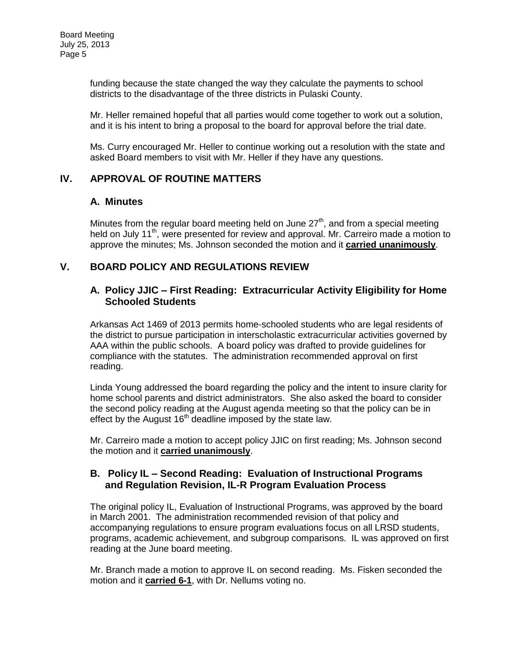funding because the state changed the way they calculate the payments to school districts to the disadvantage of the three districts in Pulaski County.

Mr. Heller remained hopeful that all parties would come together to work out a solution, and it is his intent to bring a proposal to the board for approval before the trial date.

Ms. Curry encouraged Mr. Heller to continue working out a resolution with the state and asked Board members to visit with Mr. Heller if they have any questions.

## **IV. APPROVAL OF ROUTINE MATTERS**

#### **A. Minutes**

Minutes from the regular board meeting held on June  $27<sup>th</sup>$ , and from a special meeting held on July 11<sup>th</sup>, were presented for review and approval. Mr. Carreiro made a motion to approve the minutes; Ms. Johnson seconded the motion and it **carried unanimously**.

### **V. BOARD POLICY AND REGULATIONS REVIEW**

### **A. Policy JJIC – First Reading: Extracurricular Activity Eligibility for Home Schooled Students**

Arkansas Act 1469 of 2013 permits home-schooled students who are legal residents of the district to pursue participation in interscholastic extracurricular activities governed by AAA within the public schools. A board policy was drafted to provide guidelines for compliance with the statutes. The administration recommended approval on first reading.

Linda Young addressed the board regarding the policy and the intent to insure clarity for home school parents and district administrators. She also asked the board to consider the second policy reading at the August agenda meeting so that the policy can be in effect by the August  $16<sup>th</sup>$  deadline imposed by the state law.

Mr. Carreiro made a motion to accept policy JJIC on first reading; Ms. Johnson second the motion and it **carried unanimously**.

### **B. Policy IL – Second Reading: Evaluation of Instructional Programs and Regulation Revision, IL-R Program Evaluation Process**

The original policy IL, Evaluation of Instructional Programs, was approved by the board in March 2001. The administration recommended revision of that policy and accompanying regulations to ensure program evaluations focus on all LRSD students, programs, academic achievement, and subgroup comparisons. IL was approved on first reading at the June board meeting.

Mr. Branch made a motion to approve IL on second reading. Ms. Fisken seconded the motion and it **carried 6-1**, with Dr. Nellums voting no.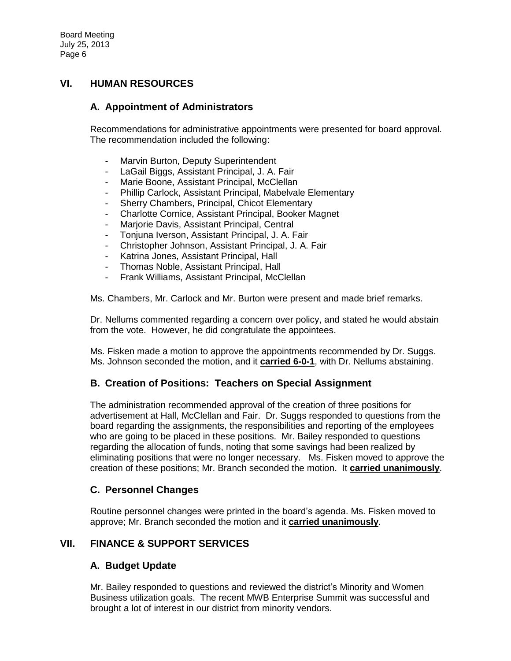## **VI. HUMAN RESOURCES**

## **A. Appointment of Administrators**

Recommendations for administrative appointments were presented for board approval. The recommendation included the following:

- Marvin Burton, Deputy Superintendent
- LaGail Biggs, Assistant Principal, J. A. Fair
- Marie Boone, Assistant Principal, McClellan
- Phillip Carlock, Assistant Principal, Mabelvale Elementary
- Sherry Chambers, Principal, Chicot Elementary
- Charlotte Cornice, Assistant Principal, Booker Magnet
- Marjorie Davis, Assistant Principal, Central
- Tonjuna Iverson, Assistant Principal, J. A. Fair
- Christopher Johnson, Assistant Principal, J. A. Fair
- Katrina Jones, Assistant Principal, Hall
- Thomas Noble, Assistant Principal, Hall
- Frank Williams, Assistant Principal, McClellan

Ms. Chambers, Mr. Carlock and Mr. Burton were present and made brief remarks.

Dr. Nellums commented regarding a concern over policy, and stated he would abstain from the vote. However, he did congratulate the appointees.

Ms. Fisken made a motion to approve the appointments recommended by Dr. Suggs. Ms. Johnson seconded the motion, and it **carried 6-0-1**, with Dr. Nellums abstaining.

#### **B. Creation of Positions: Teachers on Special Assignment**

The administration recommended approval of the creation of three positions for advertisement at Hall, McClellan and Fair. Dr. Suggs responded to questions from the board regarding the assignments, the responsibilities and reporting of the employees who are going to be placed in these positions. Mr. Bailey responded to questions regarding the allocation of funds, noting that some savings had been realized by eliminating positions that were no longer necessary. Ms. Fisken moved to approve the creation of these positions; Mr. Branch seconded the motion. It **carried unanimously**.

## **C. Personnel Changes**

Routine personnel changes were printed in the board's agenda. Ms. Fisken moved to approve; Mr. Branch seconded the motion and it **carried unanimously**.

## **VII. FINANCE & SUPPORT SERVICES**

#### **A. Budget Update**

Mr. Bailey responded to questions and reviewed the district's Minority and Women Business utilization goals. The recent MWB Enterprise Summit was successful and brought a lot of interest in our district from minority vendors.